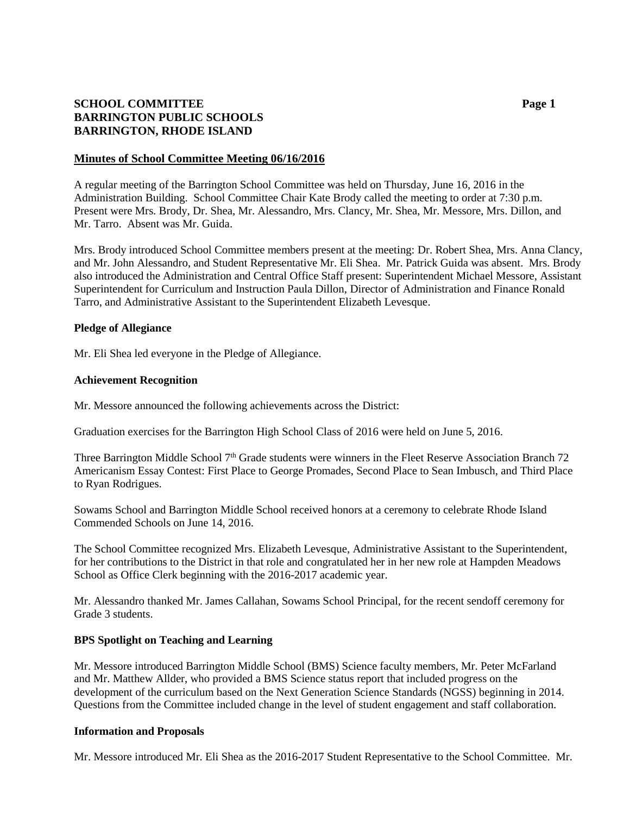# **SCHOOL COMMITTEE Page 1 BARRINGTON PUBLIC SCHOOLS BARRINGTON, RHODE ISLAND**

### **Minutes of School Committee Meeting 06/16/2016**

A regular meeting of the Barrington School Committee was held on Thursday, June 16, 2016 in the Administration Building. School Committee Chair Kate Brody called the meeting to order at 7:30 p.m. Present were Mrs. Brody, Dr. Shea, Mr. Alessandro, Mrs. Clancy, Mr. Shea, Mr. Messore, Mrs. Dillon, and Mr. Tarro. Absent was Mr. Guida.

Mrs. Brody introduced School Committee members present at the meeting: Dr. Robert Shea, Mrs. Anna Clancy, and Mr. John Alessandro, and Student Representative Mr. Eli Shea. Mr. Patrick Guida was absent. Mrs. Brody also introduced the Administration and Central Office Staff present: Superintendent Michael Messore, Assistant Superintendent for Curriculum and Instruction Paula Dillon, Director of Administration and Finance Ronald Tarro, and Administrative Assistant to the Superintendent Elizabeth Levesque.

### **Pledge of Allegiance**

Mr. Eli Shea led everyone in the Pledge of Allegiance.

#### **Achievement Recognition**

Mr. Messore announced the following achievements across the District:

Graduation exercises for the Barrington High School Class of 2016 were held on June 5, 2016.

Three Barrington Middle School 7<sup>th</sup> Grade students were winners in the Fleet Reserve Association Branch 72 Americanism Essay Contest: First Place to George Promades, Second Place to Sean Imbusch, and Third Place to Ryan Rodrigues.

Sowams School and Barrington Middle School received honors at a ceremony to celebrate Rhode Island Commended Schools on June 14, 2016.

The School Committee recognized Mrs. Elizabeth Levesque, Administrative Assistant to the Superintendent, for her contributions to the District in that role and congratulated her in her new role at Hampden Meadows School as Office Clerk beginning with the 2016-2017 academic year.

Mr. Alessandro thanked Mr. James Callahan, Sowams School Principal, for the recent sendoff ceremony for Grade 3 students.

#### **BPS Spotlight on Teaching and Learning**

Mr. Messore introduced Barrington Middle School (BMS) Science faculty members, Mr. Peter McFarland and Mr. Matthew Allder, who provided a BMS Science status report that included progress on the development of the curriculum based on the Next Generation Science Standards (NGSS) beginning in 2014. Questions from the Committee included change in the level of student engagement and staff collaboration.

#### **Information and Proposals**

Mr. Messore introduced Mr. Eli Shea as the 2016-2017 Student Representative to the School Committee. Mr.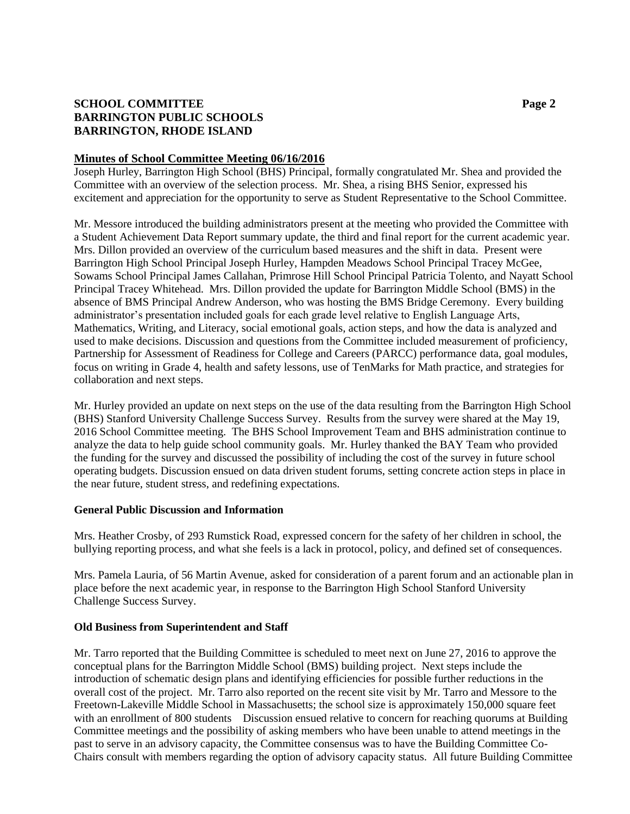# **SCHOOL COMMITTEE Page 2 BARRINGTON PUBLIC SCHOOLS BARRINGTON, RHODE ISLAND**

### **Minutes of School Committee Meeting 06/16/2016**

Joseph Hurley, Barrington High School (BHS) Principal, formally congratulated Mr. Shea and provided the Committee with an overview of the selection process. Mr. Shea, a rising BHS Senior, expressed his excitement and appreciation for the opportunity to serve as Student Representative to the School Committee.

Mr. Messore introduced the building administrators present at the meeting who provided the Committee with a Student Achievement Data Report summary update, the third and final report for the current academic year. Mrs. Dillon provided an overview of the curriculum based measures and the shift in data. Present were Barrington High School Principal Joseph Hurley, Hampden Meadows School Principal Tracey McGee, Sowams School Principal James Callahan, Primrose Hill School Principal Patricia Tolento, and Nayatt School Principal Tracey Whitehead. Mrs. Dillon provided the update for Barrington Middle School (BMS) in the absence of BMS Principal Andrew Anderson, who was hosting the BMS Bridge Ceremony. Every building administrator's presentation included goals for each grade level relative to English Language Arts, Mathematics, Writing, and Literacy, social emotional goals, action steps, and how the data is analyzed and used to make decisions. Discussion and questions from the Committee included measurement of proficiency, Partnership for Assessment of Readiness for College and Careers (PARCC) performance data, goal modules, focus on writing in Grade 4, health and safety lessons, use of TenMarks for Math practice, and strategies for collaboration and next steps.

Mr. Hurley provided an update on next steps on the use of the data resulting from the Barrington High School (BHS) Stanford University Challenge Success Survey. Results from the survey were shared at the May 19, 2016 School Committee meeting. The BHS School Improvement Team and BHS administration continue to analyze the data to help guide school community goals. Mr. Hurley thanked the BAY Team who provided the funding for the survey and discussed the possibility of including the cost of the survey in future school operating budgets. Discussion ensued on data driven student forums, setting concrete action steps in place in the near future, student stress, and redefining expectations.

## **General Public Discussion and Information**

Mrs. Heather Crosby, of 293 Rumstick Road, expressed concern for the safety of her children in school, the bullying reporting process, and what she feels is a lack in protocol, policy, and defined set of consequences.

Mrs. Pamela Lauria, of 56 Martin Avenue, asked for consideration of a parent forum and an actionable plan in place before the next academic year, in response to the Barrington High School Stanford University Challenge Success Survey.

## **Old Business from Superintendent and Staff**

Mr. Tarro reported that the Building Committee is scheduled to meet next on June 27, 2016 to approve the conceptual plans for the Barrington Middle School (BMS) building project. Next steps include the introduction of schematic design plans and identifying efficiencies for possible further reductions in the overall cost of the project. Mr. Tarro also reported on the recent site visit by Mr. Tarro and Messore to the Freetown-Lakeville Middle School in Massachusetts; the school size is approximately 150,000 square feet with an enrollment of 800 students Discussion ensued relative to concern for reaching quorums at Building Committee meetings and the possibility of asking members who have been unable to attend meetings in the past to serve in an advisory capacity, the Committee consensus was to have the Building Committee Co-Chairs consult with members regarding the option of advisory capacity status. All future Building Committee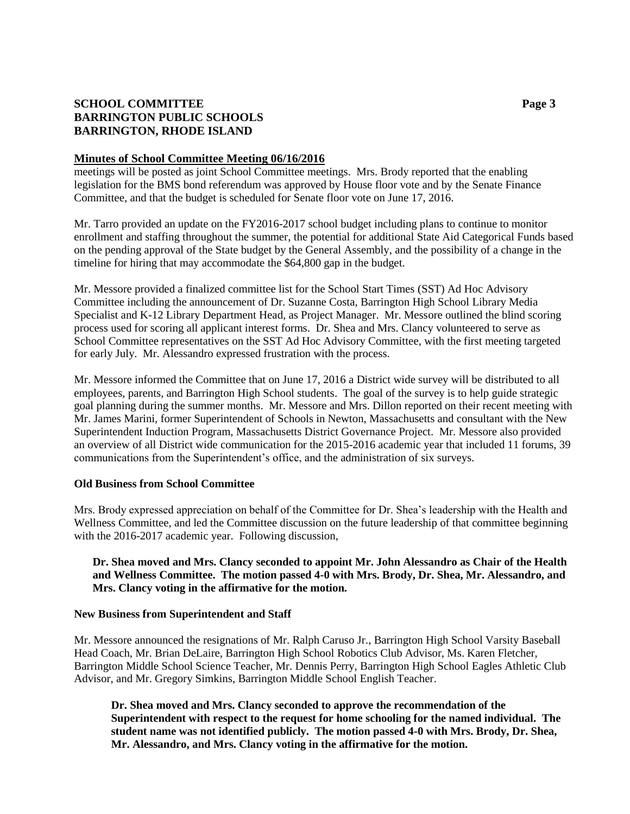# **SCHOOL COMMITTEE Page 3 BARRINGTON PUBLIC SCHOOLS BARRINGTON, RHODE ISLAND**

### **Minutes of School Committee Meeting 06/16/2016**

meetings will be posted as joint School Committee meetings. Mrs. Brody reported that the enabling legislation for the BMS bond referendum was approved by House floor vote and by the Senate Finance Committee, and that the budget is scheduled for Senate floor vote on June 17, 2016.

Mr. Tarro provided an update on the FY2016-2017 school budget including plans to continue to monitor enrollment and staffing throughout the summer, the potential for additional State Aid Categorical Funds based on the pending approval of the State budget by the General Assembly, and the possibility of a change in the timeline for hiring that may accommodate the \$64,800 gap in the budget.

Mr. Messore provided a finalized committee list for the School Start Times (SST) Ad Hoc Advisory Committee including the announcement of Dr. Suzanne Costa, Barrington High School Library Media Specialist and K-12 Library Department Head, as Project Manager. Mr. Messore outlined the blind scoring process used for scoring all applicant interest forms. Dr. Shea and Mrs. Clancy volunteered to serve as School Committee representatives on the SST Ad Hoc Advisory Committee, with the first meeting targeted for early July. Mr. Alessandro expressed frustration with the process.

Mr. Messore informed the Committee that on June 17, 2016 a District wide survey will be distributed to all employees, parents, and Barrington High School students. The goal of the survey is to help guide strategic goal planning during the summer months. Mr. Messore and Mrs. Dillon reported on their recent meeting with Mr. James Marini, former Superintendent of Schools in Newton, Massachusetts and consultant with the New Superintendent Induction Program, Massachusetts District Governance Project. Mr. Messore also provided an overview of all District wide communication for the 2015-2016 academic year that included 11 forums, 39 communications from the Superintendent's office, and the administration of six surveys.

## **Old Business from School Committee**

Mrs. Brody expressed appreciation on behalf of the Committee for Dr. Shea's leadership with the Health and Wellness Committee, and led the Committee discussion on the future leadership of that committee beginning with the 2016-2017 academic year. Following discussion,

## **Dr. Shea moved and Mrs. Clancy seconded to appoint Mr. John Alessandro as Chair of the Health and Wellness Committee. The motion passed 4-0 with Mrs. Brody, Dr. Shea, Mr. Alessandro, and Mrs. Clancy voting in the affirmative for the motion.**

#### **New Business from Superintendent and Staff**

Mr. Messore announced the resignations of Mr. Ralph Caruso Jr., Barrington High School Varsity Baseball Head Coach, Mr. Brian DeLaire, Barrington High School Robotics Club Advisor, Ms. Karen Fletcher, Barrington Middle School Science Teacher, Mr. Dennis Perry, Barrington High School Eagles Athletic Club Advisor, and Mr. Gregory Simkins, Barrington Middle School English Teacher.

**Dr. Shea moved and Mrs. Clancy seconded to approve the recommendation of the Superintendent with respect to the request for home schooling for the named individual. The student name was not identified publicly. The motion passed 4-0 with Mrs. Brody, Dr. Shea, Mr. Alessandro, and Mrs. Clancy voting in the affirmative for the motion.**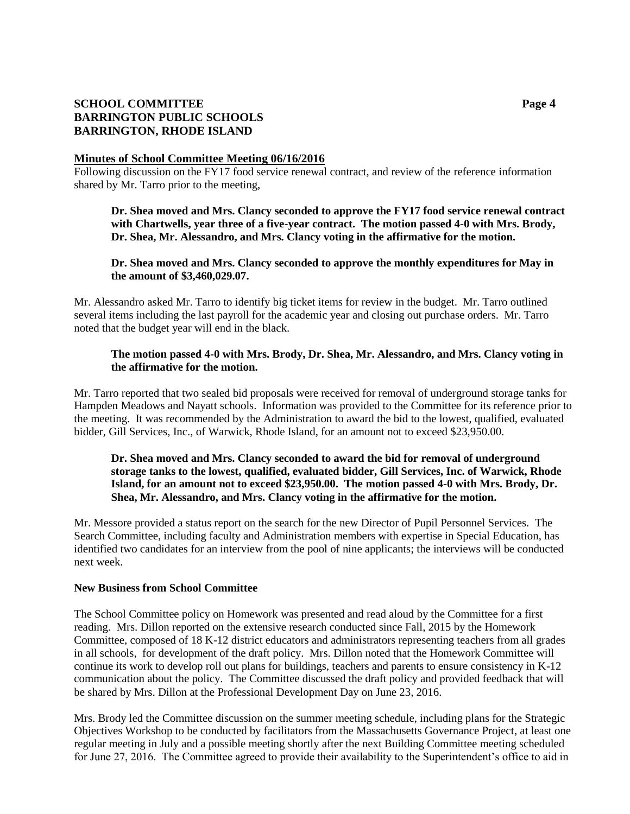# **SCHOOL COMMITTEE Page 4 BARRINGTON PUBLIC SCHOOLS BARRINGTON, RHODE ISLAND**

### **Minutes of School Committee Meeting 06/16/2016**

Following discussion on the FY17 food service renewal contract, and review of the reference information shared by Mr. Tarro prior to the meeting,

## **Dr. Shea moved and Mrs. Clancy seconded to approve the FY17 food service renewal contract with Chartwells, year three of a five-year contract. The motion passed 4-0 with Mrs. Brody, Dr. Shea, Mr. Alessandro, and Mrs. Clancy voting in the affirmative for the motion.**

## **Dr. Shea moved and Mrs. Clancy seconded to approve the monthly expenditures for May in the amount of \$3,460,029.07.**

Mr. Alessandro asked Mr. Tarro to identify big ticket items for review in the budget. Mr. Tarro outlined several items including the last payroll for the academic year and closing out purchase orders. Mr. Tarro noted that the budget year will end in the black.

# **The motion passed 4-0 with Mrs. Brody, Dr. Shea, Mr. Alessandro, and Mrs. Clancy voting in the affirmative for the motion.**

Mr. Tarro reported that two sealed bid proposals were received for removal of underground storage tanks for Hampden Meadows and Nayatt schools. Information was provided to the Committee for its reference prior to the meeting. It was recommended by the Administration to award the bid to the lowest, qualified, evaluated bidder, Gill Services, Inc., of Warwick, Rhode Island, for an amount not to exceed \$23,950.00.

# **Dr. Shea moved and Mrs. Clancy seconded to award the bid for removal of underground storage tanks to the lowest, qualified, evaluated bidder, Gill Services, Inc. of Warwick, Rhode Island, for an amount not to exceed \$23,950.00. The motion passed 4-0 with Mrs. Brody, Dr. Shea, Mr. Alessandro, and Mrs. Clancy voting in the affirmative for the motion.**

Mr. Messore provided a status report on the search for the new Director of Pupil Personnel Services. The Search Committee, including faculty and Administration members with expertise in Special Education, has identified two candidates for an interview from the pool of nine applicants; the interviews will be conducted next week.

#### **New Business from School Committee**

The School Committee policy on Homework was presented and read aloud by the Committee for a first reading. Mrs. Dillon reported on the extensive research conducted since Fall, 2015 by the Homework Committee, composed of 18 K-12 district educators and administrators representing teachers from all grades in all schools, for development of the draft policy. Mrs. Dillon noted that the Homework Committee will continue its work to develop roll out plans for buildings, teachers and parents to ensure consistency in K-12 communication about the policy. The Committee discussed the draft policy and provided feedback that will be shared by Mrs. Dillon at the Professional Development Day on June 23, 2016.

Mrs. Brody led the Committee discussion on the summer meeting schedule, including plans for the Strategic Objectives Workshop to be conducted by facilitators from the Massachusetts Governance Project, at least one regular meeting in July and a possible meeting shortly after the next Building Committee meeting scheduled for June 27, 2016. The Committee agreed to provide their availability to the Superintendent's office to aid in